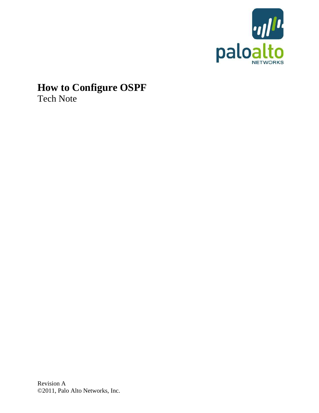

# **How to Configure OSPF** Tech Note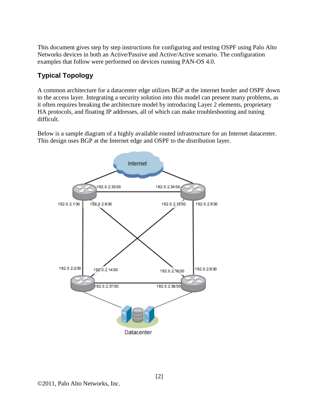This document gives step by step instructions for configuring and testing OSPF using Palo Alto Networks devices in both an Active/Passive and Active/Active scenario. The configuration examples that follow were performed on devices running PAN-OS 4.0.

## **Typical Topology**

A common architecture for a datacenter edge utilizes BGP at the internet border and OSPF down to the access layer. Integrating a security solution into this model can present many problems, as it often requires breaking the architecture model by introducing Layer 2 elements, proprietary HA protocols, and floating IP addresses, all of which can make troubleshooting and tuning difficult.

Below is a sample diagram of a highly available routed infrastructure for an Internet datacenter. This design uses BGP at the Internet edge and OSPF to the distribution layer.

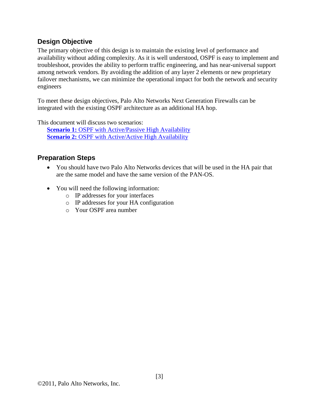#### **Design Objective**

The primary objective of this design is to maintain the existing level of performance and availability without adding complexity. As it is well understood, OSPF is easy to implement and troubleshoot, provides the ability to perform traffic engineering, and has near-universal support among network vendors. By avoiding the addition of any layer 2 elements or new proprietary failover mechanisms, we can minimize the operational impact for both the network and security engineers

To meet these design objectives, Palo Alto Networks Next Generation Firewalls can be integrated with the existing OSPF architecture as an additional HA hop.

This document will discuss two scenarios:

**Scenario 1:** OSPF [with Active/Passive High Availability](#page-3-0) **Scenario 2: OSPF** [with Active/Active High Availability](#page-11-0)

#### **Preparation Steps**

- You should have two Palo Alto Networks devices that will be used in the HA pair that are the same model and have the same version of the PAN-OS.
- You will need the following information:
	- o IP addresses for your interfaces
	- o IP addresses for your HA configuration
	- o Your OSPF area number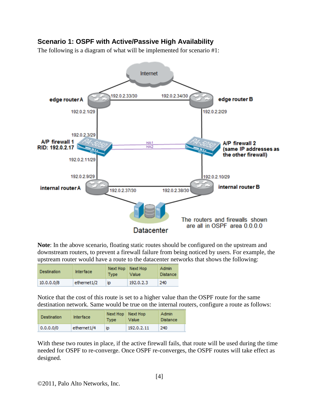#### <span id="page-3-0"></span>**Scenario 1: OSPF with Active/Passive High Availability**

The following is a diagram of what will be implemented for scenario #1:



**Note**: In the above scenario, floating static routes should be configured on the upstream and downstream routers, to prevent a firewall failure from being noticed by users. For example, the upstream router would have a route to the datacenter networks that shows the following:

| <b>Destination</b> | <b>Interface</b>        | <b>Type</b> | Next Hop   Next Hop<br>Value | <b>Admin</b><br><b>Distance</b> |
|--------------------|-------------------------|-------------|------------------------------|---------------------------------|
| 10.0.0.0/8         | ethernet <sub>1/2</sub> | <b>ID</b>   | 192.0.2.3                    | 240                             |

Notice that the cost of this route is set to a higher value than the OSPF route for the same destination network. Same would be true on the internal routers, configure a route as follows:

| <b>Destination</b> | <b>Interface</b> | Next Hop   Next Hop<br><b>Type</b> | Value      | <b>Admin</b><br><b>Distance</b> |
|--------------------|------------------|------------------------------------|------------|---------------------------------|
| 0.0.0.0/0          | ethernet1/4      | <b>ID</b>                          | 192.0.2.11 | 240                             |

With these two routes in place, if the active firewall fails, that route will be used during the time needed for OSPF to re-converge. Once OSPF re-converges, the OSPF routes will take effect as designed.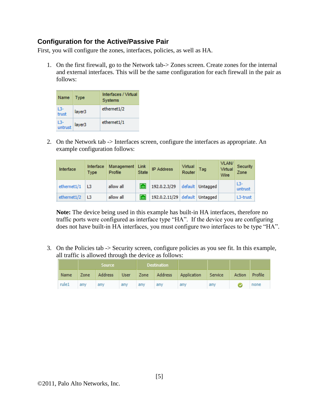#### **Configuration for the Active/Passive Pair**

First, you will configure the zones, interfaces, policies, as well as HA.

1. On the first firewall, go to the Network tab-> Zones screen. Create zones for the internal and external interfaces. This will be the same configuration for each firewall in the pair as follows:

| Name           | <b>Type</b> | Interfaces / Virtual<br><b>Systems</b> |
|----------------|-------------|----------------------------------------|
| L3-<br>trust   | layer3      | ethernet1/2                            |
| L3-<br>untrust | layer3      | ethernet1/1                            |

2. On the Network tab -> Interfaces screen, configure the interfaces as appropriate. An example configuration follows:

| Interface   | Interface<br>Type | Management<br>Profile | Link<br><b>State</b> | <b>IP Address</b>              | Virtual<br>Router | Tag              | VLAN/<br>Virtual<br>Wire | Security<br>Zone |
|-------------|-------------------|-----------------------|----------------------|--------------------------------|-------------------|------------------|--------------------------|------------------|
| ethernet1/1 | L <sub>3</sub>    | allow all             | <b>Turl</b>          | 192.0.2.3/29                   |                   | default Untagged |                          | $L3-$<br>untrust |
| ethernet1/2 | L <sub>3</sub>    | allow all             | <b>Time</b>          | 192.0.2.11/29 default Untagged |                   |                  |                          | L3-trust         |

**Note:** The device being used in this example has built-in HA interfaces, therefore no traffic ports were configured as interface type "HA". If the device you are configuring does not have built-in HA interfaces, you must configure two interfaces to be type "HA".

3. On the Policies tab -> Security screen, configure policies as you see fit. In this example, all traffic is allowed through the device as follows:

|       |      | <b>Source</b> |     |     | <b>Destination</b> |             |         |        |         |
|-------|------|---------------|-----|-----|--------------------|-------------|---------|--------|---------|
| Name  | Zone | Address User  |     |     | Zone Address       | Application | Service | Action | Profile |
| rule1 | any  | any           | any | any | any                | any         | any     |        | none    |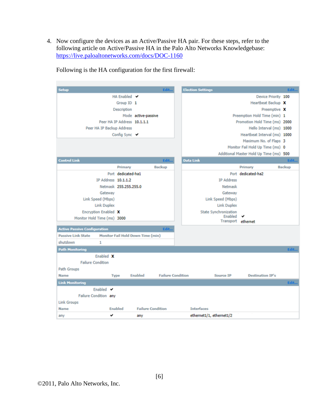4. Now configure the devices as an Active/Passive HA pair. For these steps, refer to the following article on Active/Passive HA in the Palo Alto Networks Knowledgebase: <https://live.paloaltonetworks.com/docs/DOC-1160>

| Setup                               |                             |                                   | Edit                     | <b>Election Settings</b> |                                         |                                         | Edit   |
|-------------------------------------|-----------------------------|-----------------------------------|--------------------------|--------------------------|-----------------------------------------|-----------------------------------------|--------|
|                                     | HA Enabled ↓                |                                   |                          |                          |                                         | Device Priority 100                     |        |
|                                     | Group ID 1                  |                                   |                          |                          |                                         | Heartbeat Backup X                      |        |
|                                     | <b>Description</b>          |                                   |                          |                          |                                         | Preemptive X                            |        |
|                                     |                             | Mode active-passive               |                          |                          |                                         | Preemption Hold Time (min) 1            |        |
|                                     | Peer HA IP Address 10.1.1.1 |                                   |                          |                          |                                         | Promotion Hold Time (ms) 2000           |        |
| Peer HA IP Backup Address           |                             |                                   |                          |                          |                                         | Hello Interval (ms) 1000                |        |
|                                     | Config Sync ↓               |                                   |                          |                          |                                         | Heartbeat Interval (ms) 1000            |        |
|                                     |                             |                                   |                          |                          |                                         | Maximum No. of Flaps 3                  |        |
|                                     |                             |                                   |                          |                          |                                         | Monitor Fail Hold Up Time (ms) 0        |        |
|                                     |                             |                                   |                          |                          |                                         | Additional Master Hold Up Time (ms) 500 |        |
| <b>Control Link</b>                 |                             |                                   | Edit                     | <b>Data Link</b>         |                                         |                                         | Edit   |
|                                     | Primary                     |                                   | Backup                   |                          |                                         | Primary                                 | Backup |
|                                     | Port dedicated-ha1          |                                   |                          |                          |                                         | Port dedicated-ha2                      |        |
| IP Address 10.1.1.2                 |                             |                                   |                          |                          | <b>IP Address</b>                       |                                         |        |
|                                     | Netmask 255.255.255.0       |                                   |                          |                          | Netmask                                 |                                         |        |
| Gateway                             |                             |                                   |                          |                          | Gateway                                 |                                         |        |
| Link Speed (Mbps)                   |                             |                                   |                          |                          | Link Speed (Mbps)                       |                                         |        |
| <b>Link Duplex</b>                  |                             |                                   |                          |                          | <b>Link Duplex</b>                      |                                         |        |
| Encryption Enabled X                |                             |                                   |                          |                          | <b>State Synchronization</b><br>Enabled |                                         |        |
| Monitor Hold Time (ms) 3000         |                             |                                   |                          |                          | Transport ethernet                      |                                         |        |
| <b>Active Passive Configuration</b> |                             |                                   | Edit                     |                          |                                         |                                         |        |
| <b>Passive Link State</b>           |                             | Monitor Fail Hold Down Time (min) |                          |                          |                                         |                                         |        |
| shutdown<br>1                       |                             |                                   |                          |                          |                                         |                                         |        |
| <b>Path Monitoring</b>              |                             |                                   |                          |                          |                                         |                                         | Edit   |
| Enabled X                           |                             |                                   |                          |                          |                                         |                                         |        |
| <b>Failure Condition</b>            |                             |                                   |                          |                          |                                         |                                         |        |
| <b>Path Groups</b>                  |                             |                                   |                          |                          |                                         |                                         |        |
| Name                                | <b>Type</b>                 | Enabled                           | <b>Failure Condition</b> |                          | Source IP                               | <b>Destination IP's</b>                 |        |
| <b>Link Monitoring</b>              |                             |                                   |                          |                          |                                         |                                         | Edit   |
| Enabled $\blacktriangledown$        |                             |                                   |                          |                          |                                         |                                         |        |
| Failure Condition any               |                             |                                   |                          |                          |                                         |                                         |        |
| <b>Link Groups</b>                  |                             |                                   |                          |                          |                                         |                                         |        |
| Name                                | Enabled                     | <b>Failure Condition</b>          |                          | <b>Interfaces</b>        |                                         |                                         |        |
| v<br>any                            |                             | any                               |                          | ethernet1/1, ethernet1/2 |                                         |                                         |        |

Following is the HA configuration for the first firewall: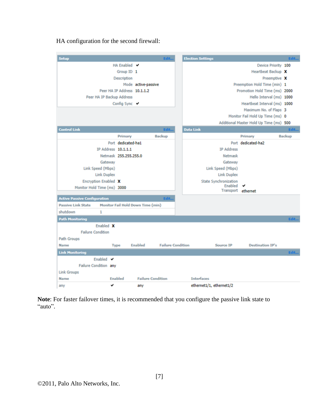| Setup                               | Edit                              | <b>Election Settings</b>                                                | Edit   |
|-------------------------------------|-----------------------------------|-------------------------------------------------------------------------|--------|
| HA Enabled $\vee$                   |                                   | Device Priority 100                                                     |        |
|                                     | Group ID 1                        | Heartbeat Backup X                                                      |        |
| Description                         |                                   | Preemptive X                                                            |        |
|                                     | Mode active-passive               | Preemption Hold Time (min) 1                                            |        |
| Peer HA IP Address 10.1.1.2         |                                   | Promotion Hold Time (ms) 2000                                           |        |
| Peer HA IP Backup Address           |                                   | Hello Interval (ms) 1000                                                |        |
| Config Sync ↓                       |                                   | Heartbeat Interval (ms) 1000                                            |        |
|                                     |                                   | Maximum No. of Flaps 3                                                  |        |
|                                     |                                   | Monitor Fail Hold Up Time (ms) 0                                        |        |
|                                     |                                   | Additional Master Hold Up Time (ms) 500                                 |        |
| <b>Control Link</b>                 | Edit                              | <b>Data Link</b>                                                        | Edit   |
| Primary                             | <b>Backup</b>                     | Primary                                                                 | Backup |
| Port dedicated-ha1                  |                                   | Port dedicated-ha2                                                      |        |
| IP Address 10.1.1.1                 |                                   | <b>IP Address</b>                                                       |        |
| Netmask 255.255.255.0               |                                   | Netmask                                                                 |        |
| Gateway                             |                                   | Gateway                                                                 |        |
| Link Speed (Mbps)                   |                                   | Link Speed (Mbps)                                                       |        |
| <b>Link Duplex</b>                  |                                   | <b>Link Duplex</b>                                                      |        |
| Encryption Enabled X                |                                   | <b>State Synchronization</b><br>Enabled<br>◡                            |        |
| Monitor Hold Time (ms) 3000         |                                   | Transport ethernet                                                      |        |
| <b>Active Passive Configuration</b> | Edit                              |                                                                         |        |
| <b>Passive Link State</b>           | Monitor Fail Hold Down Time (min) |                                                                         |        |
| shutdown<br>1                       |                                   |                                                                         |        |
| <b>Path Monitoring</b>              |                                   |                                                                         | Edit   |
| Enabled X                           |                                   |                                                                         |        |
| <b>Failure Condition</b>            |                                   |                                                                         |        |
| <b>Path Groups</b>                  |                                   |                                                                         |        |
| Name<br><b>Type</b>                 | Enabled                           | <b>Failure Condition</b><br><b>Destination IP's</b><br><b>Source IP</b> |        |
| <b>Link Monitoring</b>              |                                   |                                                                         | Edit   |
| Enabled $\vee$                      |                                   |                                                                         |        |
| Failure Condition any               |                                   |                                                                         |        |
| <b>Link Groups</b>                  |                                   |                                                                         |        |
| Enabled<br>Name                     | <b>Failure Condition</b>          | <b>Interfaces</b>                                                       |        |
| v<br>any                            | any                               | ethernet1/1, ethernet1/2                                                |        |

HA configuration for the second firewall:

**Note**: For faster failover times, it is recommended that you configure the passive link state to "auto".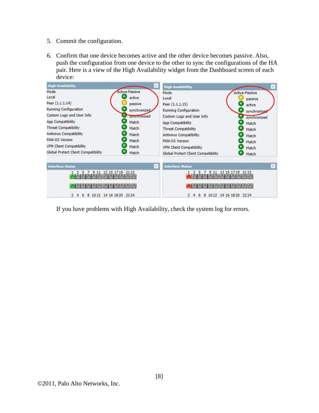- 5. Commit the configuration.
- 6. Confirm that one device becomes active and the other device becomes passive. Also, push the configuration from one device to the other to sync the configurations of the HA pair. Here is a view of the High Availability widget from the Dashboard screen of each device:



If you have problems with High Availability, check the system log for errors.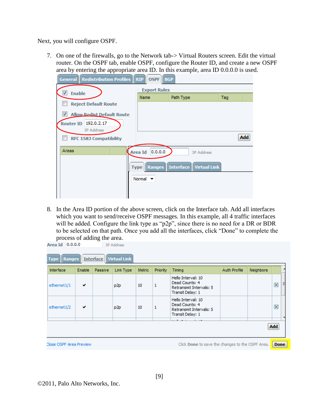Next, you will configure OSPF.

7. On one of the firewalls, go to the Network tab-> Virtual Routers screen. Edit the virtual router. On the OSPF tab, enable OSPF, configure the Router ID, and create a new OSPF area by entering the appropriate area ID. In this example, area ID 0.0.0.0 is used.

| <b>General   Redistribution Profiles   RIP  </b> | <b>OSPF</b><br><b>BGP</b>   |                                           |     |     |
|--------------------------------------------------|-----------------------------|-------------------------------------------|-----|-----|
| $\overline{\mathbf{v}}$<br><b>Enable</b>         | <b>Export Rules</b>         |                                           |     |     |
|                                                  | Name                        | Path Type                                 | Tag |     |
| <b>Reject Default Route</b>                      |                             |                                           |     |     |
| V<br><b>Allow Redist Default Route</b>           |                             |                                           |     |     |
| Router ID 192.0.2.17<br>IP Address               |                             |                                           |     |     |
| <b>RFC 1583 Compatibility</b>                    |                             |                                           |     | Add |
| Areas                                            | 0.0.0.0<br>Area Id          | <b>IP Address</b>                         |     |     |
|                                                  |                             | <b>Type Ranges Interface Virtual Link</b> |     |     |
|                                                  | Normal $\blacktriangledown$ |                                           |     |     |
|                                                  |                             |                                           |     |     |

8. In the Area ID portion of the above screen, click on the Interface tab. Add all interfaces which you want to send/receive OSPF messages. In this example, all 4 traffic interfaces will be added. Configure the link type as "p2p", since there is no need for a DR or BDR to be selected on that path. Once you add all the interfaces, click "Done" to complete the process of adding the area.<br>Area Id  $\left| \right|$  0.0.0.0 **TD Address** 

| Hello Interval: 10<br>Dead Counts: 4<br>ethernet1/1<br>✓<br>1<br>10<br>p2p<br>Retransmit Intervals: 5<br>Transit Delay: 1 |   |
|---------------------------------------------------------------------------------------------------------------------------|---|
|                                                                                                                           | ⊠ |
| Hello Interval: 10<br>Dead Counts: 4<br>ethernet1/2<br>10<br>1<br>✓<br>p2p<br>Retransmit Intervals: 5<br>Transit Delay: 1 | ⊠ |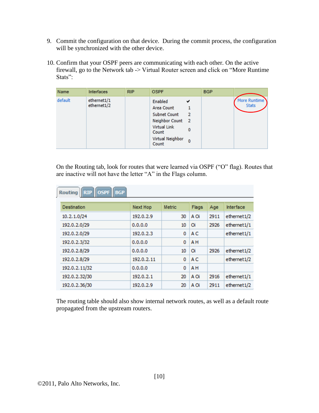- 9. Commit the configuration on that device. During the commit process, the configuration will be synchronized with the other device.
- 10. Confirm that your OSPF peers are communicating with each other. On the active firewall, go to the Network tab -> Virtual Router screen and click on "More Runtime Stats":

| Name    | Interfaces                 | <b>RIP</b> | <b>OSPF</b>                                                                                                     |                         | <b>BGP</b> |                                     |
|---------|----------------------------|------------|-----------------------------------------------------------------------------------------------------------------|-------------------------|------------|-------------------------------------|
| default | ethernet1/1<br>ethernet1/2 |            | Enabled<br>Area Count<br>Subnet Count<br>Neighbor Count 2<br>Virtual Link<br>Count<br>Virtual Neighbor<br>Count | ✔<br>2<br>0<br>$\bf{0}$ |            | <b>More Runtime</b><br><b>Stats</b> |

On the Routing tab, look for routes that were learned via OSPF ("O" flag). Routes that are inactive will not have the letter "A" in the Flags column.

| Routing RIP OSPF BGP |                 |               |                |      |                         |
|----------------------|-----------------|---------------|----------------|------|-------------------------|
| <b>Destination</b>   | <b>Next Hop</b> | <b>Metric</b> | Flags          | Age  | <b>Interface</b>        |
| 10.2.1.0/24          | 192.0.2.9       | 30            | A Oi           | 2911 | ethernet <sub>1/2</sub> |
| 192.0.2.0/29         | 0.0.0.0         | 10            | Oi             | 2926 | ethernet1/1             |
| 192.0.2.0/29         | 192.0.2.3       | 0             | A <sub>C</sub> |      | ethernet1/1             |
| 192.0.2.3/32         | 0.0.0.0         | 0             | A <sub>H</sub> |      |                         |
| 192.0.2.8/29         | 0.0.0.0         | 10            | Oi             | 2926 | ethernet1/2             |
| 192.0.2.8/29         | 192.0.2.11      | 0             | A <sub>C</sub> |      | ethernet1/2             |
| 192.0.2.11/32        | 0.0.0.0         | 0             | A <sub>H</sub> |      |                         |
| 192.0.2.32/30        | 192.0.2.1       | 20            | A Oi           | 2916 | ethernet1/1             |
| 192.0.2.36/30        | 192.0.2.9       | 20            | A Oi           | 2911 | ethernet <sub>1/2</sub> |

The routing table should also show internal network routes, as well as a default route propagated from the upstream routers.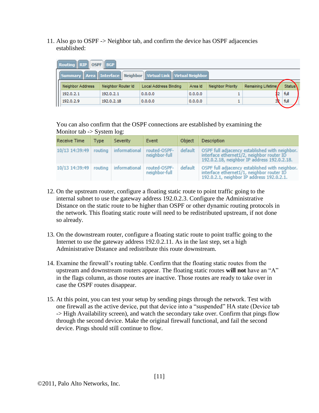11. Also go to OSPF -> Neighbor tab, and confirm the device has OSPF adjacencies established:

| Routing RIP OSPF BGP    |                    |                                                               |         |                   |                    |               |  |
|-------------------------|--------------------|---------------------------------------------------------------|---------|-------------------|--------------------|---------------|--|
|                         |                    | Summary Area Interface Neighbor Virtual Link Virtual Neighbor |         |                   |                    |               |  |
| <b>Neighbor Address</b> | Neighbor Router Id | Local Address Binding                                         | Area Id | Neighbor Priority | Remaining Lifetime | <b>Status</b> |  |
| 192.0.2.1               | 192.0.2.1          | 0.0.0.0                                                       | 0.0.0.0 |                   |                    | full          |  |
| 192.0.2.9               | 192.0.2.18         | 0.0.0.0                                                       | 0.0.0.0 |                   | ЗΧ                 | full          |  |

You can also confirm that the OSPF connections are established by examining the Monitor tab -> System log:

| Receive Time                                            | <b>Type</b> | Severity                | Event                         | Object  | Description                                                                                                                                |
|---------------------------------------------------------|-------------|-------------------------|-------------------------------|---------|--------------------------------------------------------------------------------------------------------------------------------------------|
| 10/13 14:39:49                                          |             | routing   informational | routed-OSPF-<br>neighbor-full | default | OSPF full adjacency established with neighbor.<br>interface ethernet1/2, neighbor router ID<br>192.0.2.18, neighbor IP address 192.0.2.18. |
| 10/13 14:39:49   routing   informational   routed-OSPF- |             |                         | neighbor-full                 | default | OSPF full adjacency established with neighbor.<br>interface ethernet1/1, neighbor router ID<br>192.0.2.1, neighbor IP address 192.0.2.1.   |

- 12. On the upstream router, configure a floating static route to point traffic going to the internal subnet to use the gateway address 192.0.2.3. Configure the Administrative Distance on the static route to be higher than OSPF or other dynamic routing protocols in the network. This floating static route will need to be redistributed upstream, if not done so already.
- 13. On the downstream router, configure a floating static route to point traffic going to the Internet to use the gateway address 192.0.2.11. As in the last step, set a high Administrative Distance and redistribute this route downstream.
- 14. Examine the firewall's routing table. Confirm that the floating static routes from the upstream and downstream routers appear. The floating static routes **will not** have an "A" in the flags column, as those routes are inactive. Those routes are ready to take over in case the OSPF routes disappear.
- 15. At this point, you can test your setup by sending pings through the network. Test with one firewall as the active device, put that device into a "suspended" HA state (Device tab -> High Availability screen), and watch the secondary take over. Confirm that pings flow through the second device. Make the original firewall functional, and fail the second device. Pings should still continue to flow.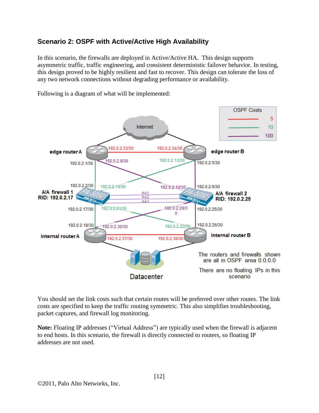### <span id="page-11-0"></span>**Scenario 2: OSPF with Active/Active High Availability**

In this scenario, the firewalls are deployed in Active/Active HA. This design supports asymmetric traffic, traffic engineering, and consistent deterministic failover behavior. In testing, this design proved to be highly resilient and fast to recover. This design can tolerate the loss of any two network connections without degrading performance or availability.



Following is a diagram of what will be implemented:

You should set the link costs such that certain routes will be preferred over other routes. The link costs are specified to keep the traffic routing symmetric. This also simplifies troubleshooting, packet captures, and firewall log monitoring.

**Note:** Floating IP addresses ("Virtual Address") are typically used when the firewall is adjacent to end hosts. In this scenario, the firewall is directly connected to routers, so floating IP addresses are not used.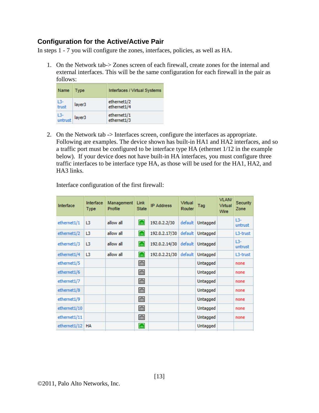#### **Configuration for the Active/Active Pair**

In steps 1 - 7 you will configure the zones, interfaces, policies, as well as HA.

1. On the Network tab-> Zones screen of each firewall, create zones for the internal and external interfaces. This will be the same configuration for each firewall in the pair as follows:

| Name           | Type               | Interfaces / Virtual Systems |
|----------------|--------------------|------------------------------|
| L3-<br>trust   | layer <sub>3</sub> | ethernet1/2<br>ethernet1/4   |
| $\frac{L3}{L}$ | layer3             | ethernet1/1<br>ethernet1/3   |

2. On the Network tab -> Interfaces screen, configure the interfaces as appropriate. Following are examples. The device shown has built-in HA1 and HA2 interfaces, and so a traffic port must be configured to be interface type HA (ethernet 1/12 in the example below). If your device does not have built-in HA interfaces, you must configure three traffic interfaces to be interface type HA, as those will be used for the HA1, HA2, and HA3 links.

Interface configuration of the first firewall:

| Interface    | Interface<br><b>Type</b> | Management<br>Profile | Link<br><b>State</b> | <b>IP Address</b> | Virtual<br>Router | Tag      | <b>VLAN/</b><br><b>Virtual</b><br>Wire | <b>Security</b><br>Zone |
|--------------|--------------------------|-----------------------|----------------------|-------------------|-------------------|----------|----------------------------------------|-------------------------|
| ethernet1/1  | L3                       | allow all             | $\overline{\rm{Im}}$ | 192.0.2.2/30      | default           | Untagged |                                        | $L3-$<br>untrust        |
| ethernet1/2  | L3                       | allow all             | $\overline{\rm{Im}}$ | 192.0.2.17/30     | default           | Untagged |                                        | L3-trust                |
| ethernet1/3  | L3                       | allow all             | $\overline{\rm{Im}}$ | 192.0.2.14/30     | default           | Untagged |                                        | $13-$<br>untrust        |
| ethernet1/4  | L3                       | allow all             | $\overline{\rm{Im}}$ | 192.0.2.21/30     | default           | Untagged |                                        | L3-trust                |
| ethernet1/5  |                          |                       | 画                    |                   |                   | Untagged |                                        | none                    |
| ethernet1/6  |                          |                       | 画                    |                   |                   | Untagged |                                        | none                    |
| ethernet1/7  |                          |                       | 画                    |                   |                   | Untagged |                                        | none                    |
| ethernet1/8  |                          |                       | 面                    |                   |                   | Untagged |                                        | none                    |
| ethernet1/9  |                          |                       | 画                    |                   |                   | Untagged |                                        | none                    |
| ethernet1/10 |                          |                       | <b>Time</b>          |                   |                   | Untagged |                                        | none                    |
| ethernet1/11 |                          |                       | 画                    |                   |                   | Untagged |                                        | none                    |
| ethernet1/12 | <b>HA</b>                |                       | $\overline{\rm{Im}}$ |                   |                   | Untagged |                                        |                         |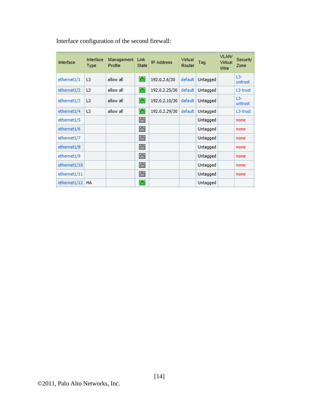| Interface    | Interface<br>Type | Management<br>Profile | Link<br><b>State</b> | <b>IP Address</b> | Virtual<br>Router | Tag              | VLAN/<br>Virtual<br>Wire | Security<br>Zone |
|--------------|-------------------|-----------------------|----------------------|-------------------|-------------------|------------------|--------------------------|------------------|
| ethernet1/1  | L3                | allow all             | $\boxed{m}$          | 192.0.2.6/30      | default           | Untagged         |                          | $L3-$<br>untrust |
| ethernet1/2  | L <sub>3</sub>    | allow all             | $\boxed{m}$          | 192.0.2.25/30     | default           | Untagged         |                          | L3-trust         |
| ethernet1/3  | L3                | allow all             | $\boxed{m}$          | 192.0.2.10/30     |                   | default Untagged |                          | $L3-$<br>untrust |
| ethernet1/4  | L3                | allow all             | $\Box$               | 192.0.2.29/30     | default           | Untagged         |                          | L3-trust         |
| ethernet1/5  |                   |                       | 圇                    |                   |                   | Untagged         |                          | none             |
| ethernet1/6  |                   |                       | 面                    |                   |                   | Untagged         |                          | none             |
| ethernet1/7  |                   |                       | Ō                    |                   |                   | Untagged         |                          | none             |
| ethernet1/8  |                   |                       | 面                    |                   |                   | Untagged         |                          | none             |
| ethernet1/9  |                   |                       | 画                    |                   |                   | Untagged         |                          | none             |
| ethernet1/10 |                   |                       | Ō                    |                   |                   | Untagged         |                          | none             |
| ethernet1/11 |                   |                       | 画                    |                   |                   | Untagged         |                          | none             |
| ethernet1/12 | HA                |                       | $\Box$               |                   |                   | Untagged         |                          |                  |

Interface configuration of the second firewall: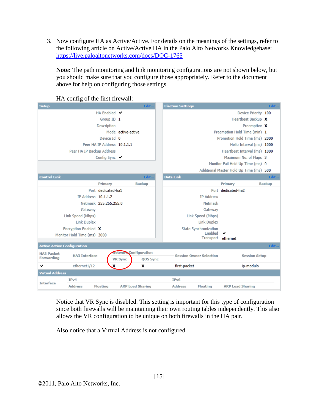3. Now configure HA as Active/Active. For details on the meanings of the settings, refer to the following article on Active/Active HA in the Palo Alto Networks Knowledgebase: <https://live.paloaltonetworks.com/docs/DOC-1765>

**Note:** The path monitoring and link monitoring configurations are not shown below, but you should make sure that you configure those appropriately. Refer to the document above for help on configuring those settings.

| ັ<br><b>Setup</b>                                       |                             | Edit                                     | <b>Election Settings</b> |                                |                                         | Edit          |
|---------------------------------------------------------|-----------------------------|------------------------------------------|--------------------------|--------------------------------|-----------------------------------------|---------------|
|                                                         | HA Enabled V                |                                          |                          |                                | Device Priority 100                     |               |
|                                                         | Group ID 1                  |                                          |                          |                                | Heartbeat Backup X                      |               |
|                                                         | <b>Description</b>          |                                          |                          |                                | Preemptive X                            |               |
|                                                         |                             | Mode active-active                       |                          |                                | Preemption Hold Time (min) 1            |               |
|                                                         | Device Id 0                 |                                          |                          |                                | Promotion Hold Time (ms) 2000           |               |
|                                                         | Peer HA IP Address 10.1.1.1 |                                          |                          |                                | Hello Interval (ms) 1000                |               |
| Peer HA IP Backup Address                               |                             |                                          |                          |                                | Heartbeat Interval (ms) 1000            |               |
|                                                         | Config Sync V               |                                          |                          |                                | Maximum No. of Flaps 3                  |               |
|                                                         |                             |                                          |                          |                                | Monitor Fail Hold Up Time (ms) 0        |               |
|                                                         |                             |                                          |                          |                                | Additional Master Hold Up Time (ms) 500 |               |
| <b>Control Link</b>                                     |                             | Edit                                     | <b>Data Link</b>         |                                |                                         | Edit          |
|                                                         | Primary                     | <b>Backup</b>                            |                          |                                | Primary                                 | <b>Backup</b> |
|                                                         | Port dedicated-ha1          |                                          |                          |                                | Port dedicated-ha2                      |               |
| IP Address 10.1.1.2                                     |                             |                                          |                          | <b>IP Address</b>              |                                         |               |
|                                                         | Netmask 255.255.255.0       |                                          |                          | Netmask                        |                                         |               |
| Gateway                                                 |                             |                                          |                          | Gateway                        |                                         |               |
| Link Speed (Mbps)                                       |                             |                                          |                          | Link Speed (Mbps)              |                                         |               |
| <b>Link Duplex</b>                                      |                             |                                          |                          | <b>Link Duplex</b>             |                                         |               |
| Encryption Enabled X                                    |                             |                                          |                          | <b>State Synchronization</b>   |                                         |               |
| Monitor Hold Time (ms) 3000                             |                             |                                          |                          | Enabled                        | ✔                                       |               |
|                                                         |                             |                                          |                          | Transport ethernet             |                                         |               |
| <b>Active Active Configuration</b>                      |                             |                                          |                          |                                |                                         | Edit          |
| <b>HA3 Packet</b><br><b>HA3 Interface</b><br>Forwarding | <b>VR Sync</b>              | <b>Network Configuration</b><br>QOS Sync |                          | <b>Session Owner Selection</b> | <b>Session Setup</b>                    |               |
| ✓<br>ethernet1/12                                       |                             | x                                        | first-packet             |                                | ip-modulo                               |               |
| <b>Virtual Address</b>                                  |                             |                                          |                          |                                |                                         |               |
| IPv4                                                    |                             |                                          | IP <sub>v6</sub>         |                                |                                         |               |
| <b>Interface</b><br><b>Address</b>                      | <b>Floating</b>             | <b>ARP Load Sharing</b>                  | <b>Address</b>           | <b>Floating</b>                | <b>ARP Load Sharing</b>                 |               |

HA config of the first firewall:

Notice that VR Sync is disabled. This setting is important for this type of configuration since both firewalls will be maintaining their own routing tables independently. This also allows the VR configuration to be unique on both firewalls in the HA pair.

Also notice that a Virtual Address is not configured.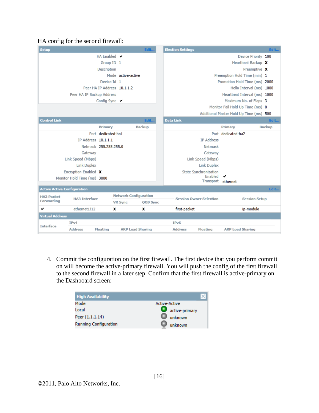#### HA config for the second firewall:

| <b>Setup</b>                       |                             |                                  |                              | Edit          | <b>Election Settings</b> |                                |                                         | Edit          |
|------------------------------------|-----------------------------|----------------------------------|------------------------------|---------------|--------------------------|--------------------------------|-----------------------------------------|---------------|
|                                    |                             | HA Enabled $\blacktriangleright$ |                              |               |                          |                                | Device Priority 100                     |               |
|                                    |                             | Group ID 1                       |                              |               |                          |                                | Heartbeat Backup X                      |               |
|                                    |                             | Description                      |                              |               |                          |                                | Preemptive X                            |               |
|                                    |                             |                                  | Mode active-active           |               |                          |                                | Preemption Hold Time (min) 1            |               |
|                                    |                             | Device Id 1                      |                              |               |                          |                                | Promotion Hold Time (ms) 2000           |               |
|                                    |                             | Peer HA IP Address 10.1.1.2      |                              |               |                          |                                | Hello Interval (ms) 1000                |               |
|                                    | Peer HA IP Backup Address   |                                  |                              |               |                          |                                | Heartbeat Interval (ms) 1000            |               |
|                                    |                             | Config Sync                      |                              |               |                          |                                | Maximum No. of Flaps 3                  |               |
|                                    |                             |                                  |                              |               |                          |                                | Monitor Fail Hold Up Time (ms) 0        |               |
|                                    |                             |                                  |                              |               |                          |                                | Additional Master Hold Up Time (ms) 500 |               |
| <b>Control Link</b>                |                             |                                  |                              | Edit          | <b>Data Link</b>         |                                |                                         | Edit          |
|                                    |                             | Primary                          |                              | <b>Backup</b> |                          |                                | Primary                                 | <b>Backup</b> |
|                                    |                             | Port dedicated-ha1               |                              |               |                          |                                | Port dedicated-ha2                      |               |
|                                    | IP Address 10.1.1.1         |                                  |                              |               |                          | <b>IP Address</b>              |                                         |               |
|                                    |                             | Netmask 255.255.255.0            |                              |               |                          | Netmask                        |                                         |               |
|                                    | Gateway                     |                                  |                              |               |                          | Gateway                        |                                         |               |
|                                    | Link Speed (Mbps)           |                                  |                              |               |                          | Link Speed (Mbps)              |                                         |               |
|                                    | <b>Link Duplex</b>          |                                  |                              |               |                          | Link Duplex                    |                                         |               |
|                                    | Encryption Enabled X        |                                  |                              |               |                          | <b>State Synchronization</b>   |                                         |               |
|                                    | Monitor Hold Time (ms) 3000 |                                  |                              |               |                          | Enabled<br>Transport           | ethernet                                |               |
|                                    |                             |                                  |                              |               |                          |                                |                                         |               |
| <b>Active Active Configuration</b> |                             |                                  |                              |               |                          |                                |                                         | Edit          |
| <b>HA3 Packet</b><br>Forwarding    | <b>HA3 Interface</b>        |                                  | <b>Network Configuration</b> |               |                          | <b>Session Owner Selection</b> | <b>Session Setup</b>                    |               |
|                                    |                             |                                  | <b>VR Sync</b>               | QOS Sync      |                          |                                |                                         |               |
| ✓                                  | ethernet1/12                | x                                |                              | x             | first-packet             |                                | ip-modulo                               |               |
| <b>Virtual Address</b>             |                             |                                  |                              |               |                          |                                |                                         |               |
| <b>Interface</b>                   | IPv4                        |                                  |                              |               | IP <sub>v6</sub>         |                                |                                         |               |
|                                    | <b>Address</b>              | <b>Floating</b>                  | <b>ARP Load Sharing</b>      |               | <b>Address</b>           | <b>Floating</b>                | <b>ARP Load Sharing</b>                 |               |

4. Commit the configuration on the first firewall. The first device that you perform commit on will become the active-primary firewall. You will push the config of the first firewall to the second firewall in a later step. Confirm that the first firewall is active-primary on the Dashboard screen:

| <b>High Availability</b>     |                      |
|------------------------------|----------------------|
| Mode                         | <b>Active-Active</b> |
| Local                        | active-primary       |
| Peer (1.1.1.14)              | unknown              |
| <b>Running Configuration</b> | unknown              |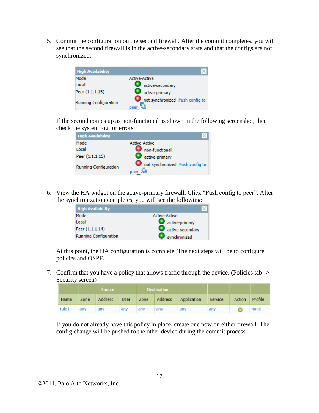5. Commit the configuration on the second firewall. After the commit completes, you will see that the second firewall is in the active-secondary state and that the configs are not synchronized:



If the second comes up as non-functional as shown in the following screenshot, then check the system log for errors.

| <b>High Availability</b> |                                         |
|--------------------------|-----------------------------------------|
| Mode                     | <b>Active-Active</b>                    |
| Local                    | non-functional                          |
| Peer (1.1.1.15)          | active-primary                          |
| Running Configuration    | not synchronized Push config to<br>peer |

6. View the HA widget on the active-primary firewall. Click "Push config to peer". After the synchronization completes, you will see the following:

| <b>High Availability</b> |                      |
|--------------------------|----------------------|
| Mode                     | <b>Active-Active</b> |
| Local                    | active-primary       |
| Peer (1.1.1.14)          | active-secondary     |
| Running Configuration    | synchronized         |

At this point, the HA configuration is complete. The next steps will be to configure policies and OSPF.

7. Confirm that you have a policy that allows traffic through the device. (Policies tab -> Security screen)

|       |      | <b>Source</b> |     |     | <b>Destination</b> |             |         |        |         |
|-------|------|---------------|-----|-----|--------------------|-------------|---------|--------|---------|
| Name  | Zone | Address User  |     |     | Zone Address       | Application | Service | Action | Profile |
| rule1 | any  | any           | any | any | any                | any         | any     |        | none    |

If you do not already have this policy in place, create one now on either firewall. The config change will be pushed to the other device during the commit process.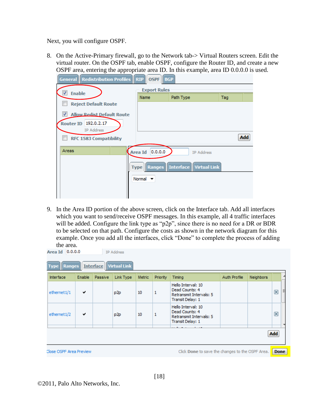Next, you will configure OSPF.

8. On the Active-Primary firewall, go to the Network tab-> Virtual Routers screen. Edit the virtual router. On the OSPF tab, enable OSPF, configure the Router ID, and create a new OSPF area, entering the appropriate area ID. In this example, area ID 0.0.0.0 is used.

| <b>General Redistribution Profiles RIP</b>  | <b>OSPF</b><br><b>BGP</b>   |                                           |     |
|---------------------------------------------|-----------------------------|-------------------------------------------|-----|
| √<br><b>Enable</b>                          | <b>Export Rules</b>         |                                           |     |
|                                             | Name                        | Path Type                                 | Taq |
| <b>Reject Default Route</b>                 |                             |                                           |     |
| √<br><b>Allow Redist Default Route</b>      |                             |                                           |     |
| Router ID 192.0.2.17                        |                             |                                           |     |
| IP Address<br><b>RFC 1583 Compatibility</b> |                             |                                           | Add |
| Areas                                       | 0.0.0.0<br>Area Id          | <b>IP Address</b>                         |     |
|                                             |                             | <b>Type Ranges Interface Virtual Link</b> |     |
|                                             | Normal $\blacktriangledown$ |                                           |     |
|                                             |                             |                                           |     |
|                                             |                             |                                           |     |

9. In the Area ID portion of the above screen, click on the Interface tab. Add all interfaces which you want to send/receive OSPF messages. In this example, all 4 traffic interfaces will be added. Configure the link type as "p2p", since there is no need for a DR or BDR to be selected on that path. Configure the costs as shown in the network diagram for this example. Once you add all the interfaces, click "Done" to complete the process of adding the area.

| Interface   | Enable | Passive | Link Type       | <b>Metric</b> | Priority | Timing                                                                              | Auth Profile | Neighbors |   |
|-------------|--------|---------|-----------------|---------------|----------|-------------------------------------------------------------------------------------|--------------|-----------|---|
| ethernet1/1 | ✔      |         | p2p             | 10            | 1        | Hello Interval: 10<br>Dead Counts: 4<br>Retransmit Intervals: 5<br>Transit Delay: 1 |              |           | ⊠ |
| ethernet1/2 | ✔      |         | p <sub>2p</sub> | 10            | 1        | Hello Interval: 10<br>Dead Counts: 4<br>Retransmit Intervals: 5<br>Transit Delay: 1 |              |           | ⊠ |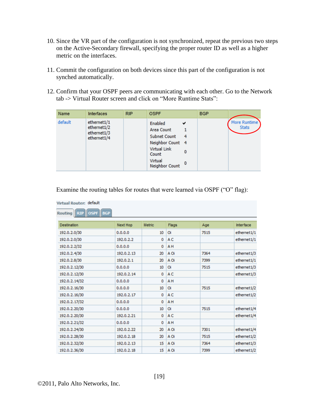- 10. Since the VR part of the configuration is not synchronized, repeat the previous two steps on the Active-Secondary firewall, specifying the proper router ID as well as a higher metric on the interfaces.
- 11. Commit the configuration on both devices since this part of the configuration is not synched automatically.
- 12. Confirm that your OSPF peers are communicating with each other. Go to the Network tab -> Virtual Router screen and click on "More Runtime Stats":

| Name    | Interfaces                                               | <b>RIP</b> | <b>OSPF</b>                                                                                                                                         | <b>BGP</b> |                              |
|---------|----------------------------------------------------------|------------|-----------------------------------------------------------------------------------------------------------------------------------------------------|------------|------------------------------|
| default | ethernet1/1<br>ethernet1/2<br>ethernet1/3<br>ethernet1/4 |            | Enabled<br>✔<br>Area Count<br>Subnet Count<br>$\overline{4}$<br>Neighbor Count 4<br>Virtual Link<br>0<br>Count<br>Virtual<br>$-0$<br>Neighbor Count |            | More Runtime<br><b>Stats</b> |

| <b>Destination</b> | Next Hop   | <b>Metric</b> | Flags          | Age  | <b>Interface</b> |
|--------------------|------------|---------------|----------------|------|------------------|
| 192.0.2.0/30       | 0.0.0.0    | 10            | $\alpha$       | 7515 | ethernet1/1      |
| 192.0.2.0/30       | 192.0.2.2  | ٥             | A <sub>C</sub> |      | ethernet1/1      |
| 192.0.2.2/32       | 0.0.0.0    | 0             | AH             |      |                  |
| 192.0.2.4/30       | 192.0.2.13 | 20            | A Oi           | 7364 | ethernet1/3      |
| 192.0.2.8/30       | 192.0.2.1  | 20            | A Oi           | 7399 | ethernet1/1      |
| 192.0.2.12/30      | 0.0.0.0    | 10            | $\alpha$       | 7515 | ethernet1/3      |
| 192.0.2.12/30      | 192.0.2.14 | 0             | A <sub>C</sub> |      | ethernet1/3      |
| 192.0.2.14/32      | 0.0.0.0    | 0             | AH             |      |                  |
| 192.0.2.16/30      | 0.0.0.0    | 10            | α              | 7515 | ethernet1/2      |
| 192.0.2.16/30      | 192.0.2.17 | 0             | A <sub>C</sub> |      | ethernet1/2      |
| 192.0.2.17/32      | 0.0.0.0    | 0             | AH             |      |                  |
| 192.0.2.20/30      | 0.0.0.0    | 10            | o              | 7515 | ethernet1/4      |
| 192.0.2.20/30      | 192.0.2.21 | ٥             | A <sub>C</sub> |      | ethernet1/4      |
| 192.0.2.21/32      | 0.0.0.0    | ٥             | AH             |      |                  |
| 192.0.2.24/30      | 192.0.2.22 | 20            | A Oil          | 7301 | ethernet1/4      |
| 192.0.2.28/30      | 192.0.2.18 | 20            | A Oi           | 7515 | ethernet1/2      |
| 192.0.2.32/30      | 192.0.2.13 | 15            | A Oil          | 7364 | ethernet1/3      |
| 192.0.2.36/30      | 192.0.2.18 | 15            | A Oi           | 7399 | ethernet1/2      |

Examine the routing tables for routes that were learned via OSPF ("O" flag):